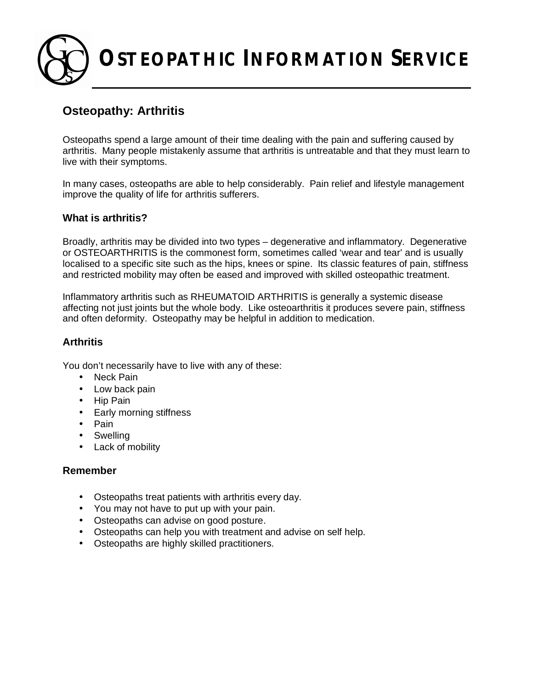**OSTEOPATHIC INFORMATION SERVICE**

# **Osteopathy: Arthritis**

Osteopaths spend a large amount of their time dealing with the pain and suffering caused by arthritis. Many people mistakenly assume that arthritis is untreatable and that they must learn to live with their symptoms.

In many cases, osteopaths are able to help considerably. Pain relief and lifestyle management improve the quality of life for arthritis sufferers.

# **What is arthritis?**

Broadly, arthritis may be divided into two types – degenerative and inflammatory. Degenerative or OSTEOARTHRITIS is the commonest form, sometimes called 'wear and tear' and is usually localised to a specific site such as the hips, knees or spine. Its classic features of pain, stiffness and restricted mobility may often be eased and improved with skilled osteopathic treatment.

Inflammatory arthritis such as RHEUMATOID ARTHRITIS is generally a systemic disease affecting not just joints but the whole body. Like osteoarthritis it produces severe pain, stiffness and often deformity. Osteopathy may be helpful in addition to medication.

# **Arthritis**

You don't necessarily have to live with any of these:

- Neck Pain
- Low back pain
- Hip Pain
- Early morning stiffness
- Pain
- Swelling
- Lack of mobility

# **Remember**

- Osteopaths treat patients with arthritis every day.
- You may not have to put up with your pain.
- Osteopaths can advise on good posture.
- Osteopaths can help you with treatment and advise on self help.
- Osteopaths are highly skilled practitioners.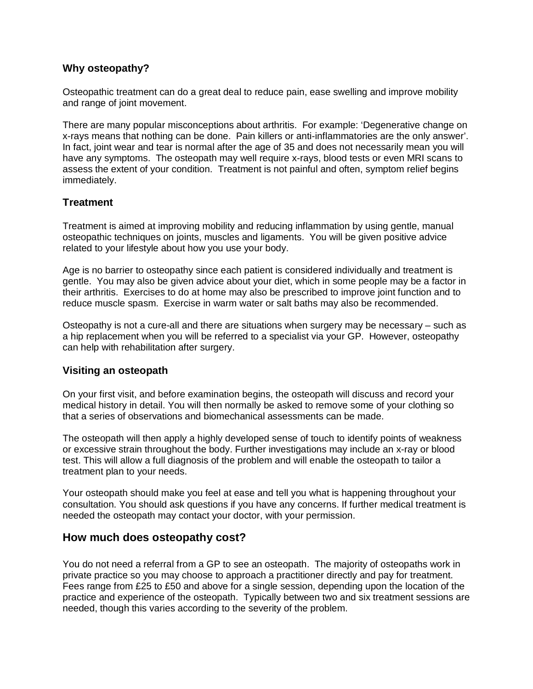# **Why osteopathy?**

Osteopathic treatment can do a great deal to reduce pain, ease swelling and improve mobility and range of joint movement.

There are many popular misconceptions about arthritis. For example: 'Degenerative change on x-rays means that nothing can be done. Pain killers or anti-inflammatories are the only answer'. In fact, joint wear and tear is normal after the age of 35 and does not necessarily mean you will have any symptoms. The osteopath may well require x-rays, blood tests or even MRI scans to assess the extent of your condition. Treatment is not painful and often, symptom relief begins immediately.

#### **Treatment**

Treatment is aimed at improving mobility and reducing inflammation by using gentle, manual osteopathic techniques on joints, muscles and ligaments. You will be given positive advice related to your lifestyle about how you use your body.

Age is no barrier to osteopathy since each patient is considered individually and treatment is gentle. You may also be given advice about your diet, which in some people may be a factor in their arthritis. Exercises to do at home may also be prescribed to improve joint function and to reduce muscle spasm. Exercise in warm water or salt baths may also be recommended.

Osteopathy is not a cure-all and there are situations when surgery may be necessary – such as a hip replacement when you will be referred to a specialist via your GP. However, osteopathy can help with rehabilitation after surgery.

#### **Visiting an osteopath**

On your first visit, and before examination begins, the osteopath will discuss and record your medical history in detail. You will then normally be asked to remove some of your clothing so that a series of observations and biomechanical assessments can be made.

The osteopath will then apply a highly developed sense of touch to identify points of weakness or excessive strain throughout the body. Further investigations may include an x-ray or blood test. This will allow a full diagnosis of the problem and will enable the osteopath to tailor a treatment plan to your needs.

Your osteopath should make you feel at ease and tell you what is happening throughout your consultation. You should ask questions if you have any concerns. If further medical treatment is needed the osteopath may contact your doctor, with your permission.

# **How much does osteopathy cost?**

You do not need a referral from a GP to see an osteopath. The majority of osteopaths work in private practice so you may choose to approach a practitioner directly and pay for treatment. Fees range from £25 to £50 and above for a single session, depending upon the location of the practice and experience of the osteopath. Typically between two and six treatment sessions are needed, though this varies according to the severity of the problem.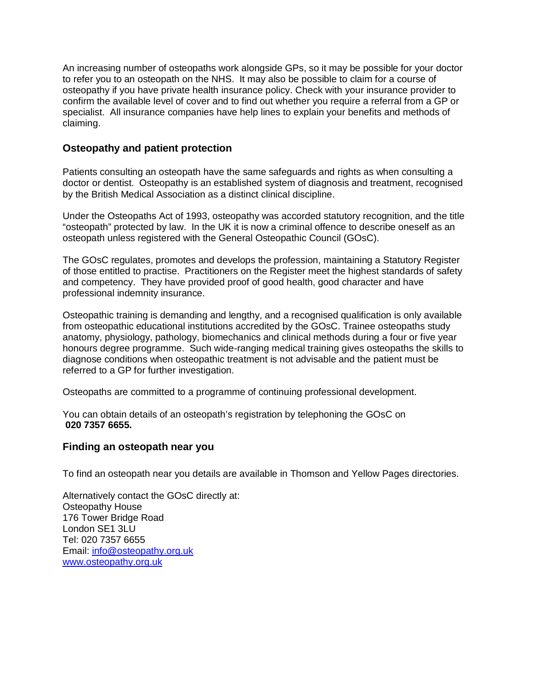An increasing number of osteopaths work alongside GPs, so it may be possible for your doctor to refer you to an osteopath on the NHS. It may also be possible to claim for a course of osteopathy if you have private health insurance policy. Check with your insurance provider to confirm the available level of cover and to find out whether you require a referral from a GP or specialist. All insurance companies have help lines to explain your benefits and methods of claiming.

# **Osteopathy and patient protection**

Patients consulting an osteopath have the same safeguards and rights as when consulting a doctor or dentist. Osteopathy is an established system of diagnosis and treatment, recognised by the British Medical Association as a distinct clinical discipline.

Under the Osteopaths Act of 1993, osteopathy was accorded statutory recognition, and the title "osteopath" protected by law. In the UK it is now a criminal offence to describe oneself as an osteopath unless registered with the General Osteopathic Council (GOsC).

The GOsC regulates, promotes and develops the profession, maintaining a Statutory Register of those entitled to practise. Practitioners on the Register meet the highest standards of safety and competency. They have provided proof of good health, good character and have professional indemnity insurance.

Osteopathic training is demanding and lengthy, and a recognised qualification is only available from osteopathic educational institutions accredited by the GOsC. Trainee osteopaths study anatomy, physiology, pathology, biomechanics and clinical methods during a four or five year honours degree programme. Such wide-ranging medical training gives osteopaths the skills to diagnose conditions when osteopathic treatment is not advisable and the patient must be referred to a GP for further investigation.

Osteopaths are committed to a programme of continuing professional development.

You can obtain details of an osteopath's registration by telephoning the GOsC on **020 7357 6655.**

#### **Finding an osteopath near you**

To find an osteopath near you details are available in Thomson and Yellow Pages directories.

Alternatively contact the GOsC directly at: Osteopathy House 176 Tower Bridge Road London SE1 3LU Tel: 020 7357 6655 Email: [info@osteopathy.org.uk](mailto:info@osteopathy.org.uk) [www.osteopathy.org.uk](http://www.osteopathy.org.uk)